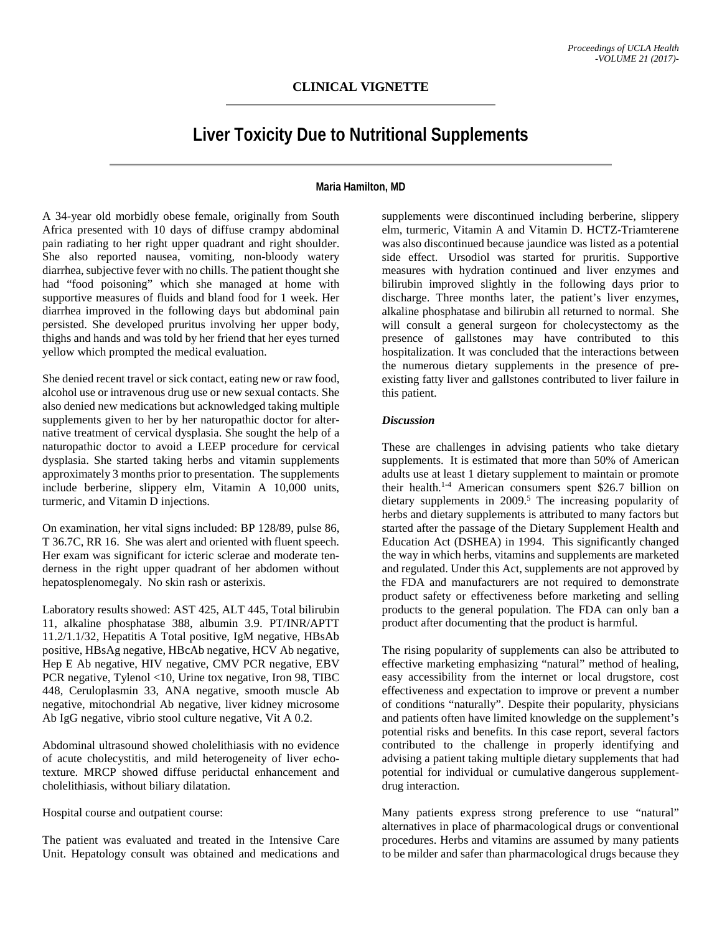# **CLINICAL VIGNETTE**

# **Liver Toxicity Due to Nutritional Supplements**

## **Maria Hamilton, MD**

A 34-year old morbidly obese female, originally from South Africa presented with 10 days of diffuse crampy abdominal pain radiating to her right upper quadrant and right shoulder. She also reported nausea, vomiting, non-bloody watery diarrhea, subjective fever with no chills. The patient thought she had "food poisoning" which she managed at home with supportive measures of fluids and bland food for 1 week. Her diarrhea improved in the following days but abdominal pain persisted. She developed pruritus involving her upper body, thighs and hands and was told by her friend that her eyes turned yellow which prompted the medical evaluation.

She denied recent travel or sick contact, eating new or raw food, alcohol use or intravenous drug use or new sexual contacts. She also denied new medications but acknowledged taking multiple supplements given to her by her naturopathic doctor for alternative treatment of cervical dysplasia. She sought the help of a naturopathic doctor to avoid a LEEP procedure for cervical dysplasia. She started taking herbs and vitamin supplements approximately 3 months prior to presentation. The supplements include berberine, slippery elm, Vitamin A 10,000 units, turmeric, and Vitamin D injections.

On examination, her vital signs included: BP 128/89, pulse 86, T 36.7C, RR 16. She was alert and oriented with fluent speech. Her exam was significant for icteric sclerae and moderate tenderness in the right upper quadrant of her abdomen without hepatosplenomegaly. No skin rash or asterixis.

Laboratory results showed: AST 425, ALT 445, Total bilirubin 11, alkaline phosphatase 388, albumin 3.9. PT/INR/APTT 11.2/1.1/32, Hepatitis A Total positive, IgM negative, HBsAb positive, HBsAg negative, HBcAb negative, HCV Ab negative, Hep E Ab negative, HIV negative, CMV PCR negative, EBV PCR negative, Tylenol <10, Urine tox negative, Iron 98, TIBC 448, Ceruloplasmin 33, ANA negative, smooth muscle Ab negative, mitochondrial Ab negative, liver kidney microsome Ab IgG negative, vibrio stool culture negative, Vit A 0.2.

Abdominal ultrasound showed cholelithiasis with no evidence of acute cholecystitis, and mild heterogeneity of liver echotexture. MRCP showed diffuse periductal enhancement and cholelithiasis, without biliary dilatation.

Hospital course and outpatient course:

The patient was evaluated and treated in the Intensive Care Unit. Hepatology consult was obtained and medications and

supplements were discontinued including berberine, slippery elm, turmeric, Vitamin A and Vitamin D. HCTZ-Triamterene was also discontinued because jaundice was listed as a potential side effect. Ursodiol was started for pruritis. Supportive measures with hydration continued and liver enzymes and bilirubin improved slightly in the following days prior to discharge. Three months later, the patient's liver enzymes, alkaline phosphatase and bilirubin all returned to normal. She will consult a general surgeon for cholecystectomy as the presence of gallstones may have contributed to this hospitalization. It was concluded that the interactions between the numerous dietary supplements in the presence of preexisting fatty liver and gallstones contributed to liver failure in this patient.

#### *Discussion*

These are challenges in advising patients who take dietary supplements. It is estimated that more than 50% of American adults use at least 1 dietary supplement to maintain or promote their health.1-4 American consumers spent \$26.7 billion on dietary supplements in  $2009$ <sup>5</sup>. The increasing popularity of herbs and dietary supplements is attributed to many factors but started after the passage of the Dietary Supplement Health and Education Act (DSHEA) in 1994. This significantly changed the way in which herbs, vitamins and supplements are marketed and regulated. Under this Act, supplements are not approved by the FDA and manufacturers are not required to demonstrate product safety or effectiveness before marketing and selling products to the general population. The FDA can only ban a product after documenting that the product is harmful.

The rising popularity of supplements can also be attributed to effective marketing emphasizing "natural" method of healing, easy accessibility from the internet or local drugstore, cost effectiveness and expectation to improve or prevent a number of conditions "naturally". Despite their popularity, physicians and patients often have limited knowledge on the supplement's potential risks and benefits. In this case report, several factors contributed to the challenge in properly identifying and advising a patient taking multiple dietary supplements that had potential for individual or cumulative dangerous supplementdrug interaction.

Many patients express strong preference to use "natural" alternatives in place of pharmacological drugs or conventional procedures. Herbs and vitamins are assumed by many patients to be milder and safer than pharmacological drugs because they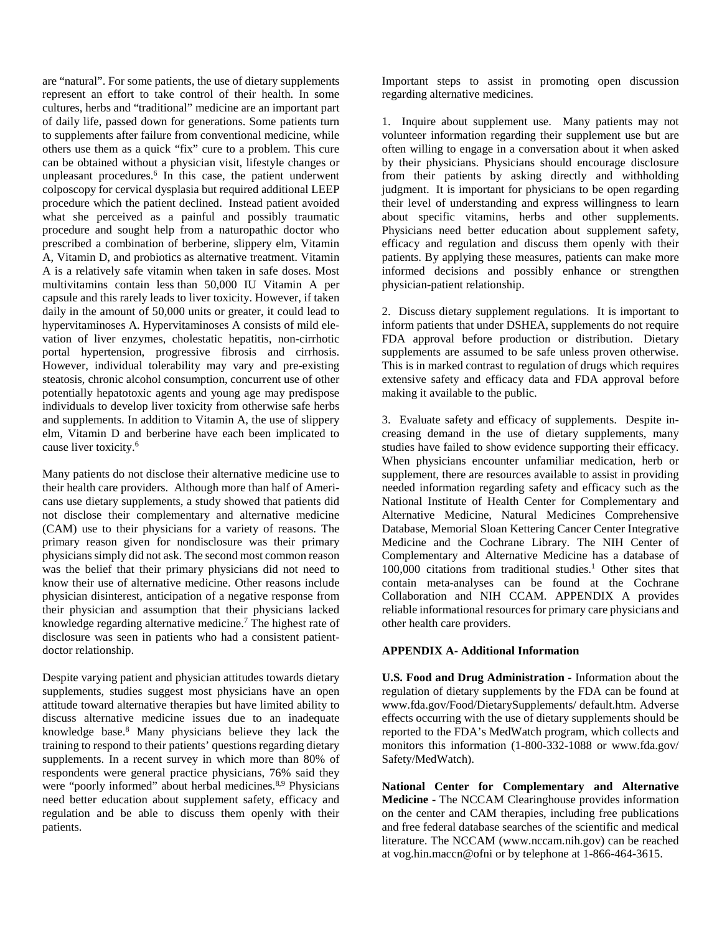are "natural". For some patients, the use of dietary supplements represent an effort to take control of their health. In some cultures, herbs and "traditional" medicine are an important part of daily life, passed down for generations. Some patients turn to supplements after failure from conventional medicine, while others use them as a quick "fix" cure to a problem. This cure can be obtained without a physician visit, lifestyle changes or unpleasant procedures.<sup>6</sup> In this case, the patient underwent colposcopy for cervical dysplasia but required additional LEEP procedure which the patient declined. Instead patient avoided what she perceived as a painful and possibly traumatic procedure and sought help from a naturopathic doctor who prescribed a combination of berberine, slippery elm, Vitamin A, Vitamin D, and probiotics as alternative treatment. Vitamin A is a relatively safe vitamin when taken in safe doses. Most multivitamins contain less than 50,000 IU Vitamin A per capsule and this rarely leads to liver toxicity. However, if taken daily in the amount of 50,000 units or greater, it could lead to hypervitaminoses A. Hypervitaminoses A consists of mild elevation of liver enzymes, cholestatic hepatitis, non-cirrhotic portal hypertension, progressive fibrosis and cirrhosis. However, individual tolerability may vary and pre-existing steatosis, chronic alcohol consumption, concurrent use of other potentially hepatotoxic agents and young age may predispose individuals to develop liver toxicity from otherwise safe herbs and supplements. In addition to Vitamin A, the use of slippery elm, Vitamin D and berberine have each been implicated to cause liver toxicity.6

Many patients do not disclose their alternative medicine use to their health care providers. Although more than half of Americans use dietary supplements, a study showed that patients did not disclose their complementary and alternative medicine (CAM) use to their physicians for a variety of reasons. The primary reason given for nondisclosure was their primary physicians simply did not ask. The second most common reason was the belief that their primary physicians did not need to know their use of alternative medicine. Other reasons include physician disinterest, anticipation of a negative response from their physician and assumption that their physicians lacked knowledge regarding alternative medicine.<sup>7</sup> The highest rate of disclosure was seen in patients who had a consistent patientdoctor relationship.

Despite varying patient and physician attitudes towards dietary supplements, studies suggest most physicians have an open attitude toward alternative therapies but have limited ability to discuss alternative medicine issues due to an inadequate knowledge base.8 Many physicians believe they lack the training to respond to their patients' questions regarding dietary supplements. In a recent survey in which more than 80% of respondents were general practice physicians, 76% said they were "poorly informed" about herbal medicines.<sup>8,9</sup> Physicians need better education about supplement safety, efficacy and regulation and be able to discuss them openly with their patients.

Important steps to assist in promoting open discussion regarding alternative medicines.

1. Inquire about supplement use. Many patients may not volunteer information regarding their supplement use but are often willing to engage in a conversation about it when asked by their physicians. Physicians should encourage disclosure from their patients by asking directly and withholding judgment. It is important for physicians to be open regarding their level of understanding and express willingness to learn about specific vitamins, herbs and other supplements. Physicians need better education about supplement safety, efficacy and regulation and discuss them openly with their patients. By applying these measures, patients can make more informed decisions and possibly enhance or strengthen physician-patient relationship.

2. Discuss dietary supplement regulations. It is important to inform patients that under DSHEA, supplements do not require FDA approval before production or distribution. Dietary supplements are assumed to be safe unless proven otherwise. This is in marked contrast to regulation of drugs which requires extensive safety and efficacy data and FDA approval before making it available to the public.

3. Evaluate safety and efficacy of supplements. Despite increasing demand in the use of dietary supplements, many studies have failed to show evidence supporting their efficacy. When physicians encounter unfamiliar medication, herb or supplement, there are resources available to assist in providing needed information regarding safety and efficacy such as the National Institute of Health Center for Complementary and Alternative Medicine, Natural Medicines Comprehensive Database, Memorial Sloan Kettering Cancer Center Integrative Medicine and the Cochrane Library. The NIH Center of Complementary and Alternative Medicine has a database of  $100,000$  citations from traditional studies.<sup>1</sup> Other sites that contain meta-analyses can be found at the Cochrane Collaboration and NIH CCAM. APPENDIX A provides reliable informational resources for primary care physicians and other health care providers.

#### **APPENDIX A- Additional Information**

**U.S. Food and Drug Administration -** Information about the regulation of dietary supplements by the FDA can be found at www.fda.gov/Food/DietarySupplements/ default.htm. Adverse effects occurring with the use of dietary supplements should be reported to the FDA's MedWatch program, which collects and monitors this information (1-800-332-1088 or www.fda.gov/ Safety/MedWatch).

**National Center for Complementary and Alternative Medicine -** The NCCAM Clearinghouse provides information on the center and CAM therapies, including free publications and free federal database searches of the scientific and medical literature. The NCCAM (www.nccam.nih.gov) can be reached at vog.hin.maccn@ofni or by telephone at 1-866-464-3615.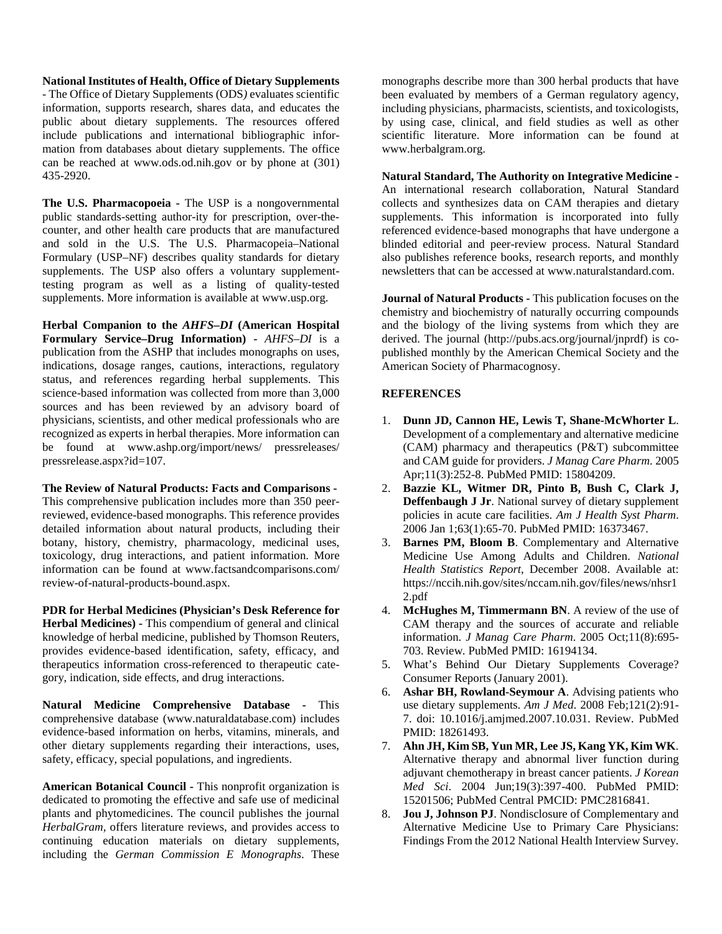#### **National Institutes of Health, Office of Dietary Supplements**

- The Office of Dietary Supplements (ODS*)* evaluates scientific information, supports research, shares data, and educates the public about dietary supplements. The resources offered include publications and international bibliographic information from databases about dietary supplements. The office can be reached at www.ods.od.nih.gov or by phone at (301) 435-2920.

**The U.S. Pharmacopoeia -** The USP is a nongovernmental public standards-setting author-ity for prescription, over-thecounter, and other health care products that are manufactured and sold in the U.S. The U.S. Pharmacopeia–National Formulary (USP–NF) describes quality standards for dietary supplements. The USP also offers a voluntary supplementtesting program as well as a listing of quality-tested supplements. More information is available at www.usp.org.

**Herbal Companion to the** *AHFS–DI* **(American Hospital Formulary Service–Drug Information) -** *AHFS–DI* is a publication from the ASHP that includes monographs on uses, indications, dosage ranges, cautions, interactions, regulatory status, and references regarding herbal supplements. This science-based information was collected from more than 3,000 sources and has been reviewed by an advisory board of physicians, scientists, and other medical professionals who are recognized as experts in herbal therapies. More information can be found at www.ashp.org/import/news/ pressreleases/ pressrelease.aspx?id=107.

**The Review of Natural Products: Facts and Comparisons -** This comprehensive publication includes more than 350 peerreviewed, evidence-based monographs. This reference provides detailed information about natural products, including their botany, history, chemistry, pharmacology, medicinal uses, toxicology, drug interactions, and patient information. More information can be found at www.factsandcomparisons.com/ review-of-natural-products-bound.aspx.

**PDR for Herbal Medicines (Physician's Desk Reference for Herbal Medicines) -** This compendium of general and clinical knowledge of herbal medicine, published by Thomson Reuters, provides evidence-based identification, safety, efficacy, and therapeutics information cross-referenced to therapeutic category, indication, side effects, and drug interactions.

**Natural Medicine Comprehensive Database -** This comprehensive database (www.naturaldatabase.com) includes evidence-based information on herbs, vitamins, minerals, and other dietary supplements regarding their interactions, uses, safety, efficacy, special populations, and ingredients.

**American Botanical Council -** This nonprofit organization is dedicated to promoting the effective and safe use of medicinal plants and phytomedicines. The council publishes the journal *HerbalGram,* offers literature reviews, and provides access to continuing education materials on dietary supplements, including the *German Commission E Monographs*. These

monographs describe more than 300 herbal products that have been evaluated by members of a German regulatory agency, including physicians, pharmacists, scientists, and toxicologists, by using case, clinical, and field studies as well as other scientific literature. More information can be found at www.herbalgram.org.

**Natural Standard, The Authority on Integrative Medicine -** An international research collaboration, Natural Standard collects and synthesizes data on CAM therapies and dietary supplements. This information is incorporated into fully referenced evidence-based monographs that have undergone a blinded editorial and peer-review process. Natural Standard also publishes reference books, research reports, and monthly newsletters that can be accessed at www.naturalstandard.com.

**Journal of Natural Products -** This publication focuses on the chemistry and biochemistry of naturally occurring compounds and the biology of the living systems from which they are derived. The journal (http://pubs.acs.org/journal/jnprdf) is copublished monthly by the American Chemical Society and the American Society of Pharmacognosy.

### **REFERENCES**

- 1. **Dunn JD, Cannon HE, Lewis T, Shane-McWhorter L**. Development of a complementary and alternative medicine (CAM) pharmacy and therapeutics (P&T) subcommittee and CAM guide for providers. *J Manag Care Pharm*. 2005 Apr;11(3):252-8. PubMed PMID: 15804209.
- 2. **Bazzie KL, Witmer DR, Pinto B, Bush C, Clark J, Deffenbaugh J Jr**. National survey of dietary supplement policies in acute care facilities. *Am J Health Syst Pharm*. 2006 Jan 1;63(1):65-70. PubMed PMID: 16373467.
- 3. **Barnes PM, Bloom B**. Complementary and Alternative Medicine Use Among Adults and Children. *National Health Statistics Report*, December 2008. Available at: https://nccih.nih.gov/sites/nccam.nih.gov/files/news/nhsr1 2.pdf
- 4. **McHughes M, Timmermann BN**. A review of the use of CAM therapy and the sources of accurate and reliable information. *J Manag Care Pharm*. 2005 Oct;11(8):695- 703. Review. PubMed PMID: 16194134.
- 5. What's Behind Our Dietary Supplements Coverage? Consumer Reports (January 2001).
- 6. **Ashar BH, Rowland-Seymour A**. Advising patients who use dietary supplements. *Am J Med*. 2008 Feb;121(2):91- 7. doi: 10.1016/j.amjmed.2007.10.031. Review. PubMed PMID: 18261493.
- 7. **Ahn JH, Kim SB, Yun MR, Lee JS, Kang YK, Kim WK**. Alternative therapy and abnormal liver function during adjuvant chemotherapy in breast cancer patients. *J Korean Med Sci*. 2004 Jun;19(3):397-400. PubMed PMID: 15201506; PubMed Central PMCID: PMC2816841.
- 8. **Jou J, Johnson PJ**. Nondisclosure of Complementary and Alternative Medicine Use to Primary Care Physicians: Findings From the 2012 National Health Interview Survey.